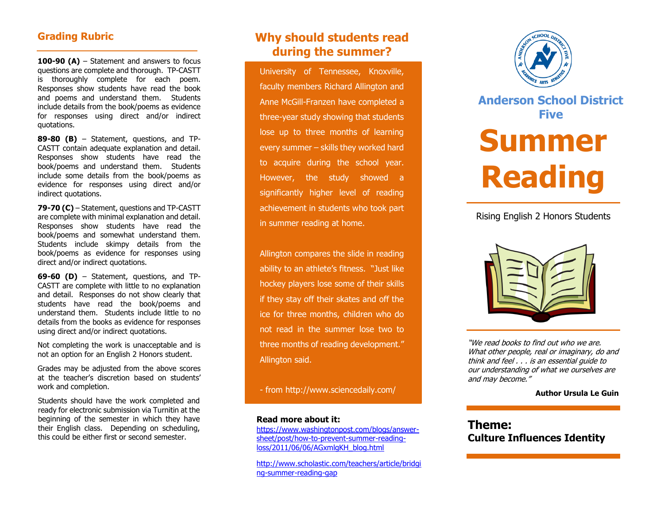## **Grading Rubric**

**100-90 (A)** – Statement and answers to focus questions are complete and thorough. TP-CASTT is thoroughly complete for each poem. Responses show students have read the book and poems and understand them. Students include details from the book/poems as evidence for responses using direct and/or indirect quotations.

**89-80 (B)** – Statement, questions, and TP-CASTT contain adequate explanation and detail. Responses show students have read the book/poems and understand them. Students include some details from the book/poems as evidence for responses using direct and/or indirect quotations.

**79-70 (C)** – Statement, questions and TP-CASTT are complete with minimal explanation and detail. Responses show students have read the book/poems and somewhat understand them. Students include skimpy details from the book/poems as evidence for responses using direct and/or indirect quotations.

**69-60 (D)** – Statement, questions, and TP-CASTT are complete with little to no explanation and detail. Responses do not show clearly that students have read the book/poems and understand them. Students include little to no details from the books as evidence for responses using direct and/or indirect quotations.

Not completing the work is unacceptable and is not an option for an English 2 Honors student.

Grades may be adjusted from the above scores at the teacher's discretion based on students' work and completion.

Students should have the work completed and ready for electronic submission via Turnitin at the beginning of the semester in which they have their English class. Depending on scheduling, this could be either first or second semester.

## **Why should students read during the summer?**

University of Tennessee, Knoxville, faculty members Richard Allington and Anne McGill-Franzen have completed a three-year study showing that students lose up to three months of learning every summer – skills they worked hard to acquire during the school year. However, the study showed a significantly higher level of reading achievement in students who took part in summer reading at home.

Allington compares the slide in reading ability to an athlete's fitness. "Just like hockey players lose some of their skills if they stay off their skates and off the ice for three months, children who do not read in the summer lose two to three months of reading development." Allington said.

- from<http://www.sciencedaily.com/>

#### **Read more about it:**

[https://www.washingtonpost.com/blogs/answer](https://www.washingtonpost.com/blogs/answer-sheet/post/how-to-prevent-summer-reading-loss/2011/06/06/AGxmlgKH_blog.html)[sheet/post/how-to-prevent-summer-reading](https://www.washingtonpost.com/blogs/answer-sheet/post/how-to-prevent-summer-reading-loss/2011/06/06/AGxmlgKH_blog.html)[loss/2011/06/06/AGxmlgKH\\_blog.html](https://www.washingtonpost.com/blogs/answer-sheet/post/how-to-prevent-summer-reading-loss/2011/06/06/AGxmlgKH_blog.html)

[http://www.scholastic.com/teachers/article/bridgi](http://www.scholastic.com/teachers/article/bridging-summer-reading-gap) [ng-summer-reading-gap](http://www.scholastic.com/teachers/article/bridging-summer-reading-gap)



# **Anderson School District Five Summer Reading**

## Rising English 2 Honors Students



"We read books to find out who we are. What other people, real or imaginary, do and think and feel . . . is an essential guide to our understanding of what we ourselves are and may become."

#### **Author Ursula Le Guin**

**Theme: Culture Influences Identity**